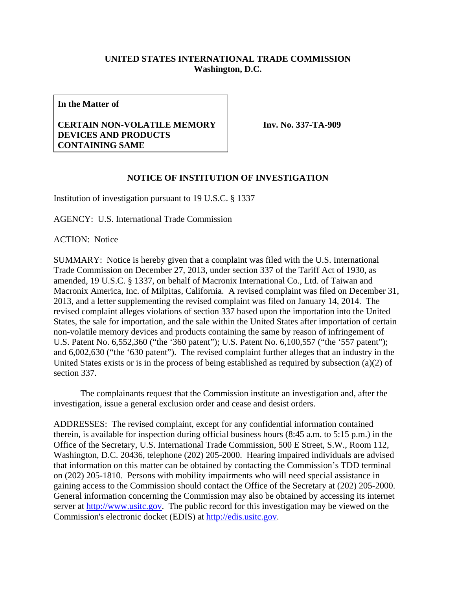## **UNITED STATES INTERNATIONAL TRADE COMMISSION Washington, D.C.**

**In the Matter of** 

## **CERTAIN NON-VOLATILE MEMORY DEVICES AND PRODUCTS CONTAINING SAME**

**Inv. No. 337-TA-909**

## **NOTICE OF INSTITUTION OF INVESTIGATION**

Institution of investigation pursuant to 19 U.S.C. § 1337

AGENCY: U.S. International Trade Commission

ACTION: Notice

SUMMARY: Notice is hereby given that a complaint was filed with the U.S. International Trade Commission on December 27, 2013, under section 337 of the Tariff Act of 1930, as amended, 19 U.S.C. § 1337, on behalf of Macronix International Co., Ltd. of Taiwan and Macronix America, Inc. of Milpitas, California. A revised complaint was filed on December 31, 2013, and a letter supplementing the revised complaint was filed on January 14, 2014. The revised complaint alleges violations of section 337 based upon the importation into the United States, the sale for importation, and the sale within the United States after importation of certain non-volatile memory devices and products containing the same by reason of infringement of U.S. Patent No. 6,552,360 ("the '360 patent"); U.S. Patent No. 6,100,557 ("the '557 patent"); and 6,002,630 ("the '630 patent"). The revised complaint further alleges that an industry in the United States exists or is in the process of being established as required by subsection (a)(2) of section 337.

 The complainants request that the Commission institute an investigation and, after the investigation, issue a general exclusion order and cease and desist orders.

ADDRESSES: The revised complaint, except for any confidential information contained therein, is available for inspection during official business hours (8:45 a.m. to 5:15 p.m.) in the Office of the Secretary, U.S. International Trade Commission, 500 E Street, S.W., Room 112, Washington, D.C. 20436, telephone (202) 205-2000. Hearing impaired individuals are advised that information on this matter can be obtained by contacting the Commission's TDD terminal on (202) 205-1810. Persons with mobility impairments who will need special assistance in gaining access to the Commission should contact the Office of the Secretary at (202) 205-2000. General information concerning the Commission may also be obtained by accessing its internet server at http://www.usitc.gov. The public record for this investigation may be viewed on the Commission's electronic docket (EDIS) at http://edis.usitc.gov.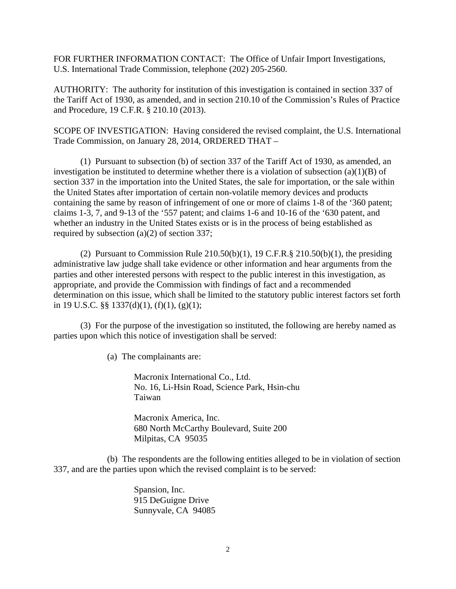FOR FURTHER INFORMATION CONTACT: The Office of Unfair Import Investigations, U.S. International Trade Commission, telephone (202) 205-2560.

AUTHORITY: The authority for institution of this investigation is contained in section 337 of the Tariff Act of 1930, as amended, and in section 210.10 of the Commission's Rules of Practice and Procedure, 19 C.F.R. § 210.10 (2013).

SCOPE OF INVESTIGATION: Having considered the revised complaint, the U.S. International Trade Commission, on January 28, 2014, ORDERED THAT –

 (1) Pursuant to subsection (b) of section 337 of the Tariff Act of 1930, as amended, an investigation be instituted to determine whether there is a violation of subsection  $(a)(1)(B)$  of section 337 in the importation into the United States, the sale for importation, or the sale within the United States after importation of certain non-volatile memory devices and products containing the same by reason of infringement of one or more of claims 1-8 of the '360 patent; claims 1-3, 7, and 9-13 of the '557 patent; and claims 1-6 and 10-16 of the '630 patent, and whether an industry in the United States exists or is in the process of being established as required by subsection (a)(2) of section 337;

(2) Pursuant to Commission Rule  $210.50(b)(1)$ , 19 C.F.R.§  $210.50(b)(1)$ , the presiding administrative law judge shall take evidence or other information and hear arguments from the parties and other interested persons with respect to the public interest in this investigation, as appropriate, and provide the Commission with findings of fact and a recommended determination on this issue, which shall be limited to the statutory public interest factors set forth in 19 U.S.C.  $\S$ § 1337(d)(1), (f)(1), (g)(1);

 (3) For the purpose of the investigation so instituted, the following are hereby named as parties upon which this notice of investigation shall be served:

(a) The complainants are:

Macronix International Co., Ltd. No. 16, Li-Hsin Road, Science Park, Hsin-chu Taiwan

Macronix America, Inc. 680 North McCarthy Boulevard, Suite 200 Milpitas, CA 95035

 (b) The respondents are the following entities alleged to be in violation of section 337, and are the parties upon which the revised complaint is to be served:

> Spansion, Inc. 915 DeGuigne Drive Sunnyvale, CA 94085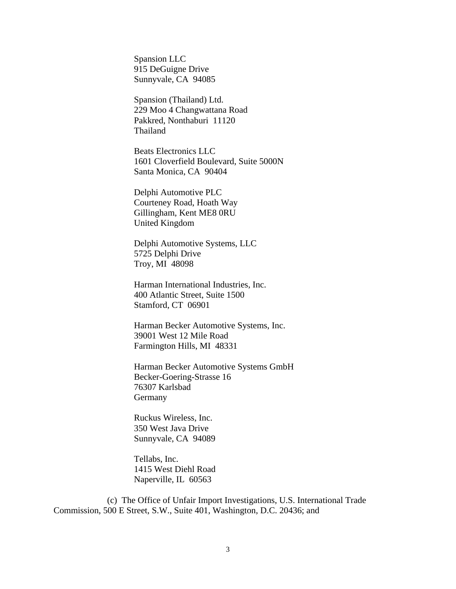Spansion LLC 915 DeGuigne Drive Sunnyvale, CA 94085

 Spansion (Thailand) Ltd. 229 Moo 4 Changwattana Road Pakkred, Nonthaburi 11120 Thailand

 Beats Electronics LLC 1601 Cloverfield Boulevard, Suite 5000N Santa Monica, CA 90404

 Delphi Automotive PLC Courteney Road, Hoath Way Gillingham, Kent ME8 0RU United Kingdom

 Delphi Automotive Systems, LLC 5725 Delphi Drive Troy, MI 48098

 Harman International Industries, Inc. 400 Atlantic Street, Suite 1500 Stamford, CT 06901

 Harman Becker Automotive Systems, Inc. 39001 West 12 Mile Road Farmington Hills, MI 48331

 Harman Becker Automotive Systems GmbH Becker-Goering-Strasse 16 76307 Karlsbad **Germany** 

 Ruckus Wireless, Inc. 350 West Java Drive Sunnyvale, CA 94089

 Tellabs, Inc. 1415 West Diehl Road Naperville, IL 60563

 (c) The Office of Unfair Import Investigations, U.S. International Trade Commission, 500 E Street, S.W., Suite 401, Washington, D.C. 20436; and